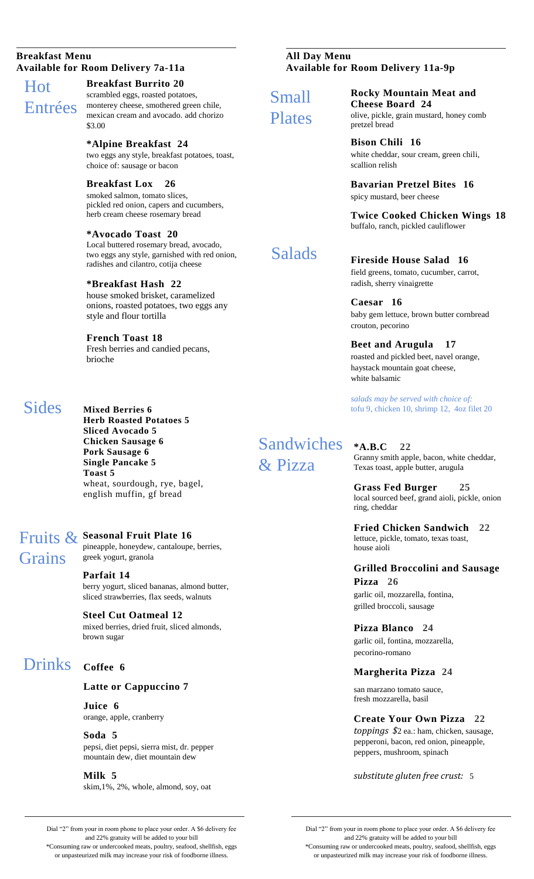#### **Breakfast Menu Available for Room Delivery 7a-11a**

# Hot Entrées

**Breakfast Burrito 20**

scrambled eggs, roasted potatoes, monterey cheese, smothered green chile, mexican cream and avocado. add chorizo \$3.00

**\*Alpine Breakfast 24**  two eggs any style, breakfast potatoes, toast, choice of: sausage or bacon

**Breakfast Lox 26** smoked salmon, tomato slices, pickled red onion, capers and cucumbers, herb cream cheese rosemary bread

**\*Avocado Toast 20** Local buttered rosemary bread, avocado, two eggs any style, garnished with red onion, radishes and cilantro, cotija cheese

#### **\*Breakfast Hash 22**

house smoked brisket, caramelized onions, roasted potatoes, two eggs any style and flour tortilla

**French Toast 18** Fresh berries and candied pecans, brioche

### **Sides**

**Mixed Berries 6 Herb Roasted Potatoes 5 Sliced Avocado 5 Chicken Sausage 6 Pork Sausage 6 Single Pancake 5 Toast 5** wheat, sourdough, rye, bagel, english muffin, gf bread

## **Seasonal Fruit Plate 16**  Fruits & **Grains**

**Parfait 14**  berry yogurt, sliced bananas, almond butter,

sliced strawberries, flax seeds, walnuts

pineapple, honeydew, cantaloupe, berries,

**Steel Cut Oatmeal 12**  mixed berries, dried fruit, sliced almonds, brown sugar

# Drinks **Coffee 6**

#### **Latte or Cappuccino 7**

**Juice 6** orange, apple, cranberry

greek yogurt, granola

**Soda 5** pepsi, diet pepsi, sierra mist, dr. pepper mountain dew, diet mountain dew

**Milk 5** skim,1%, 2%, whole, almond, soy, oat **All Day Menu Available for Room Delivery 11a-9p**

Small Plates

**Cheese Board 24**  olive, pickle, grain mustard, honey comb pretzel bread

**Rocky Mountain Meat and** 

**Bison Chili 16** white cheddar, sour cream, green chili, scallion relish

**Bavarian Pretzel Bites 16** spicy mustard, beer cheese

**Twice Cooked Chicken Wings 18** buffalo, ranch, pickled cauliflower

# Salads

**Fireside House Salad 16** field greens, tomato, cucumber, carrot, radish, sherry vinaigrette

**Caesar 16** baby gem lettuce, brown butter cornbread crouton, pecorino

#### **Beet and Arugula 17** roasted and pickled beet, navel orange, haystack mountain goat cheese, white balsamic

*salads may be served with choice of:*  tofu 9, chicken 10, shrimp 12, 4oz filet 20

**Sandwiches** & Pizza

**\*A.B.C 22** Granny smith apple, bacon, white cheddar, Texas toast, apple butter, arugula

> **Grass Fed Burger 25** local sourced beef, grand aioli, pickle, onion ring, cheddar

**Fried Chicken Sandwich 22** lettuce, pickle, tomato, texas toast, house aioli

### **Grilled Broccolini and Sausage Pizza 26**

garlic oil, mozzarella, fontina, grilled broccoli, sausage

**Pizza Blanco 24** garlic oil, fontina, mozzarella, pecorino-romano

### **Margherita Pizza 24**

san marzano tomato sauce, fresh mozzarella, basil

**Create Your Own Pizza 22**

*toppings \$*2 ea.: ham, chicken, sausage, pepperoni, bacon, red onion, pineapple, peppers, mushroom, spinach

*substitute gluten free crust:* 5

Dial "2" from your in room phone to place your order. A \$6 delivery fee and 22% gratuity will be added to your bill

\*Consuming raw or undercooked meats, poultry, seafood, shellfish, eggs or unpasteurized milk may increase your risk of foodborne illness.

Dial "2" from your in room phone to place your order. A \$6 delivery fee and 22% gratuity will be added to your bill \*Consuming raw or undercooked meats, poultry, seafood, shellfish, eggs or unpasteurized milk may increase your risk of foodborne illness.